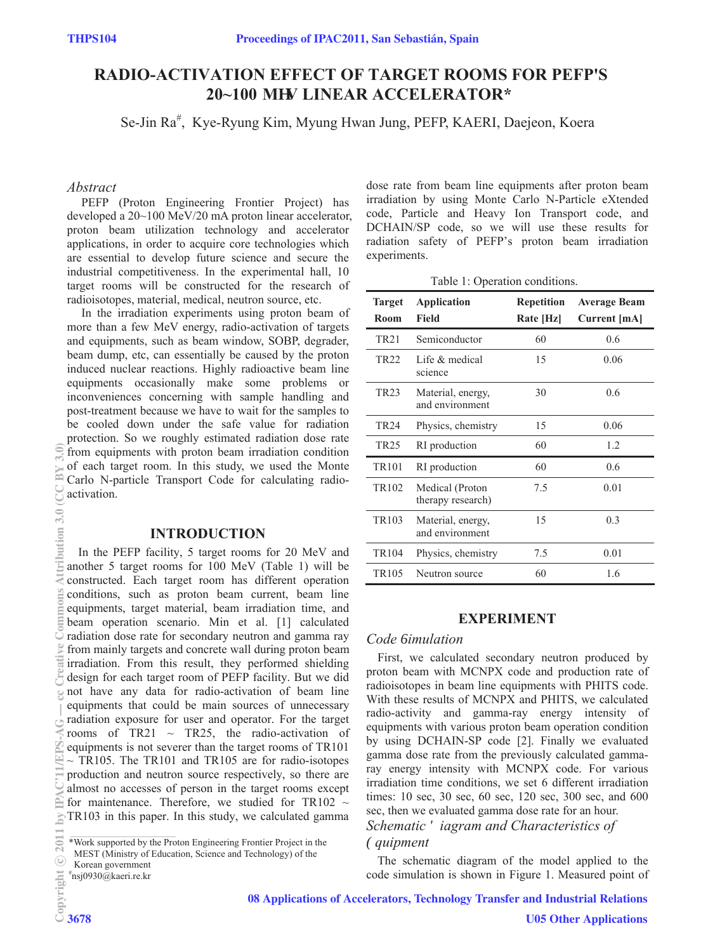# **RADIO-ACTIVATION EFFECT OF TARGET ROOMS FOR PEFP'S 20~100 MgV LINEAR ACCELERATOR\***

Se-Jin Ra<sup>#</sup>, Kye-Ryung Kim, Myung Hwan Jung, PEFP, KAERI, Daejeon, Koera

#### *Abstract*

 PEFP (Proton Engineering Frontier Project) has developed a 20~100 MeV/20 mA proton linear accelerator, proton beam utilization technology and accelerator applications, in order to acquire core technologies which are essential to develop future science and secure the industrial competitiveness. In the experimental hall, 10 target rooms will be constructed for the research of radioisotopes, material, medical, neutron source, etc.

 In the irradiation experiments using proton beam of more than a few MeV energy, radio-activation of targets and equipments, such as beam window, SOBP, degrader, beam dump, etc, can essentially be caused by the proton induced nuclear reactions. Highly radioactive beam line equipments occasionally make some problems or inconveniences concerning with sample handling and post-treatment because we have to wait for the samples to be cooled down under the safe value for radiation protection. So we roughly estimated radiation dose rate from equipments with proton beam irradiation condition of each target room. In this study, we used the Monte Carlo N-particle Transport Code for calculating radioactivation.

### **INTRODUCTION**

In the PEFP facility, 5 target rooms for 20 MeV and another 5 target rooms for 100 MeV (Table 1) will be constructed. Each target room has different operation conditions, such as proton beam current, beam line equipments, target material, beam irradiation time, and beam operation scenario. Min et al. [1] calculated radiation dose rate for secondary neutron and gamma ray from mainly targets and concrete wall during proton beam irradiation. From this result, they performed shielding design for each target room of PEFP facility. But we did not have any data for radio-activation of beam line equipments that could be main sources of unnecessary radiation exposure for user and operator. For the target rooms of TR21  $\sim$  TR25, the radio-activation of equipments is not severer than the target rooms of TR101  $\sim$  TR105. The TR101 and TR105 are for radio-isotopes production and neutron source respectively, so there are almost no accesses of person in the target rooms except for maintenance. Therefore, we studied for TR102  $\sim$ TR103 in this paper. In this study, we calculated gamma

dose rate from beam line equipments after proton beam irradiation by using Monte Carlo N-Particle eXtended code, Particle and Heavy Ion Transport code, and DCHAIN/SP code, so we will use these results for radiation safety of PEFP's proton beam irradiation experiments.

Table 1: Operation conditions.

| <b>Target</b><br>Room | <b>Application</b><br>Field          | <b>Repetition</b><br>Rate [Hz] | <b>Average Beam</b><br><b>Current</b> [mA] |
|-----------------------|--------------------------------------|--------------------------------|--------------------------------------------|
| <b>TR21</b>           | Semiconductor                        | 60                             | 0.6                                        |
| TR <sub>22</sub>      | Life & medical<br>science            | 15                             | 0.06                                       |
| <b>TR23</b>           | Material, energy,<br>and environment | 30                             | 0.6                                        |
| TR <sub>24</sub>      | Physics, chemistry                   | 15                             | 0.06                                       |
| <b>TR25</b>           | RI production                        | 60                             | 1.2                                        |
| <b>TR101</b>          | RI production                        | 60                             | 0.6                                        |
| TR <sub>102</sub>     | Medical (Proton<br>therapy research) | 7.5                            | 0.01                                       |
| TR <sub>103</sub>     | Material, energy,<br>and environment | 15                             | 0.3                                        |
| <b>TR104</b>          | Physics, chemistry                   | 7.5                            | 0.01                                       |
| TR <sub>105</sub>     | Neutron source                       | 60                             | 1.6                                        |

#### **EXPERIMENT**

#### *Code 6imulation*

First, we calculated secondary neutron produced by proton beam with MCNPX code and production rate of radioisotopes in beam line equipments with PHITS code. With these results of MCNPX and PHITS, we calculated radio-activity and gamma-ray energy intensity of equipments with various proton beam operation condition by using DCHAIN-SP code [2]. Finally we evaluated gamma dose rate from the previously calculated gammaray energy intensity with MCNPX code. For various irradiation time conditions, we set 6 different irradiation times: 10 sec, 30 sec, 60 sec, 120 sec, 300 sec, and 600 sec, then we evaluated gamma dose rate for an hour.

# *Schematic 'iagram and Characteristics of (quipment*

The schematic diagram of the model applied to the code simulation is shown in Figure 1. Measured point of

08 Applications of Accelerators, Technology Transfer and Industrial Relations

<sup>\*</sup>Work supported by the Proton Engineering Frontier Project in the

MEST (Ministry of Education, Science and Technology) of the

Korean government

<sup>#</sup> nsj0930@kaeri.re.kr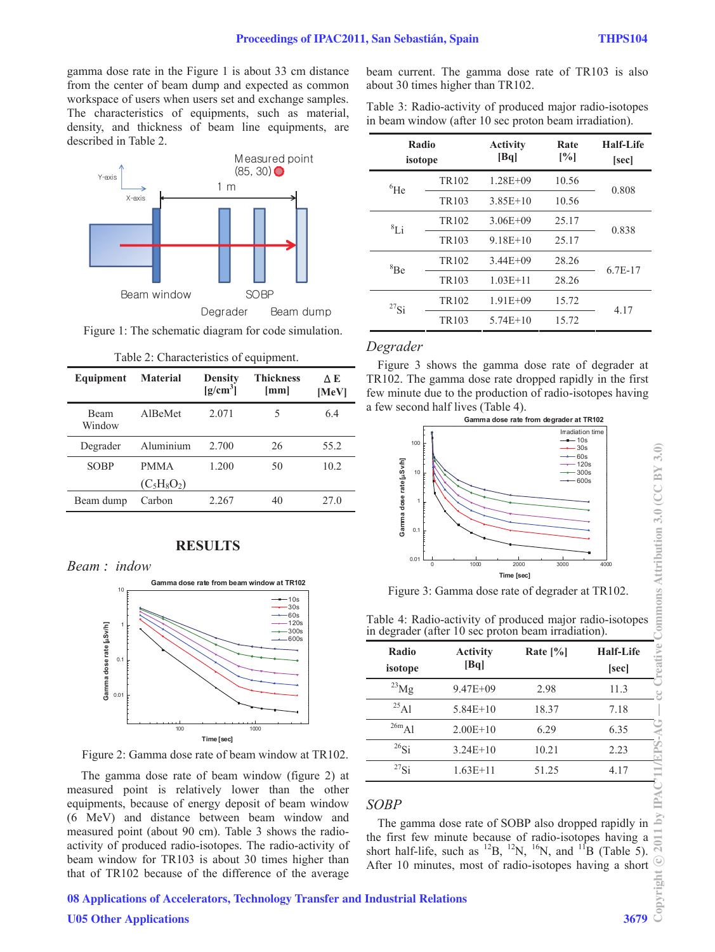gamma dose rate in the Figure 1 is about 33 cm distance from the center of beam dump and expected as common workspace of users when users set and exchange samples. The characteristics of equipments, such as material, density, and thickness of beam line equipments, are described in Table 2.



Figure 1: The schematic diagram for code simulation.

| Equipment             | <b>Material</b>              | <b>Density</b><br>$[g/cm^3]$ | <b>Thickness</b><br>$\lceil$ mm $\rceil$ | ΔE<br>[MeV] |
|-----------------------|------------------------------|------------------------------|------------------------------------------|-------------|
| <b>Beam</b><br>Window | AlBeMet                      | 2.071                        | 5                                        | 6.4         |
| Degrader              | Aluminium                    | 2.700                        | 26                                       | 55.2        |
| <b>SOBP</b>           | <b>PMMA</b><br>$(C_5H_8O_2)$ | 1.200                        | 50                                       | 10.2        |
| Beam dump             | Carbon                       | 2.267                        | 40                                       | 27.0        |

|  |  |  |  | Table 2: Characteristics of equipment. |
|--|--|--|--|----------------------------------------|
|--|--|--|--|----------------------------------------|

#### **RESULTS**





Figure 2: Gamma dose rate of beam window at TR102.

 The gamma dose rate of beam window (figure 2) at measured point is relatively lower than the other equipments, because of energy deposit of beam window (6 MeV) and distance between beam window and measured point (about 90 cm). Table 3 shows the radioactivity of produced radio-isotopes. The radio-activity of beam window for TR103 is about 30 times higher than that of TR102 because of the difference of the average beam current. The gamma dose rate of TR103 is also about 30 times higher than TR102.

Table 3: Radio-activity of produced major radio-isotopes in beam window (after 10 sec proton beam irradiation).

| Radio<br>isotope |                   | <b>Activity</b><br>[Bq] | Rate<br>[%] | Half-Life<br>[sec] |
|------------------|-------------------|-------------------------|-------------|--------------------|
| ${}^{6}$ He      | TR <sub>102</sub> | $1.28E + 09$            | 10.56       | 0.808              |
|                  | TR <sub>103</sub> | $3.85E+10$              | 10.56       |                    |
| ${}^{8}Li$       | TR <sub>102</sub> | $3.06E + 09$            | 25.17       | 0.838              |
|                  | TR <sub>103</sub> | $9.18E + 10$            | 25.17       |                    |
| ${}^{8}Be$       | TR <sub>102</sub> | $3.44E + 09$            | 28.26       | $6.7E-17$          |
|                  | TR <sub>103</sub> | $1.03E + 11$            | 28.26       |                    |
| $^{27}$ Si       | TR <sub>102</sub> | $1.91E + 09$            | 15.72       | 4.17               |
|                  | TR <sub>103</sub> | $5.74E+10$              | 15.72       |                    |

#### *Degrader*

Figure 3 shows the gamma dose rate of degrader at TR102. The gamma dose rate dropped rapidly in the first few minute due to the production of radio-isotopes having a few second half lives (Table 4).



Figure 3: Gamma dose rate of degrader at TR102.

|  | Table 4: Radio-activity of produced major radio-isotopes |  |
|--|----------------------------------------------------------|--|
|  | in degrader (after 10 sec proton beam irradiation).      |  |

| Radio<br>isotope | <b>Activity</b><br>[Bq] | Rate $[\%]$ | <b>Half-Life</b><br>[sec] |
|------------------|-------------------------|-------------|---------------------------|
| $^{23}$ Mg       | $9.47E + 09$            | 2.98        | 11.3                      |
| $^{25}$ Al       | $5.84E+10$              | 18.37       | 7.18                      |
| $^{26m}$ Al      | $2.00E+10$              | 6.29        | 6.35                      |
| $^{26}$ Si       | $3.24E+10$              | 10.21       | 2.23                      |
| $^{27}$ Si       | $1.63E+11$              | 51.25       | 4.17                      |

#### *SOBP*

The gamma dose rate of SOBP also dropped rapidly in the first few minute because of radio-isotopes having a short half-life, such as  $^{12}B$ ,  $^{12}N$ ,  $^{16}N$ , and  $^{11}B$  (Table 5). After 10 minutes, most of radio-isotopes having a short

# 08 Applications of Accelerators, Technology Transfer and Industrial Relations